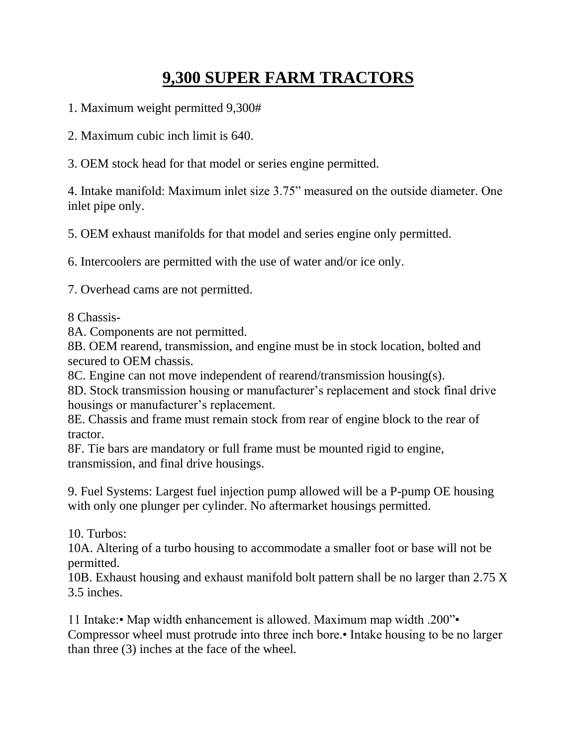## **9,300 SUPER FARM TRACTORS**

- 1. Maximum weight permitted 9,300#
- 2. Maximum cubic inch limit is 640.
- 3. OEM stock head for that model or series engine permitted.

4. Intake manifold: Maximum inlet size 3.75" measured on the outside diameter. One inlet pipe only.

5. OEM exhaust manifolds for that model and series engine only permitted.

6. Intercoolers are permitted with the use of water and/or ice only.

7. Overhead cams are not permitted.

8 Chassis-

8A. Components are not permitted.

8B. OEM rearend, transmission, and engine must be in stock location, bolted and secured to OEM chassis.

8C. Engine can not move independent of rearend/transmission housing(s).

8D. Stock transmission housing or manufacturer's replacement and stock final drive housings or manufacturer's replacement.

8E. Chassis and frame must remain stock from rear of engine block to the rear of tractor.

8F. Tie bars are mandatory or full frame must be mounted rigid to engine, transmission, and final drive housings.

9. Fuel Systems: Largest fuel injection pump allowed will be a P-pump OE housing with only one plunger per cylinder. No aftermarket housings permitted.

10. Turbos:

10A. Altering of a turbo housing to accommodate a smaller foot or base will not be permitted.

10B. Exhaust housing and exhaust manifold bolt pattern shall be no larger than 2.75 X 3.5 inches.

11 Intake:• Map width enhancement is allowed. Maximum map width .200"• Compressor wheel must protrude into three inch bore.• Intake housing to be no larger than three (3) inches at the face of the wheel.